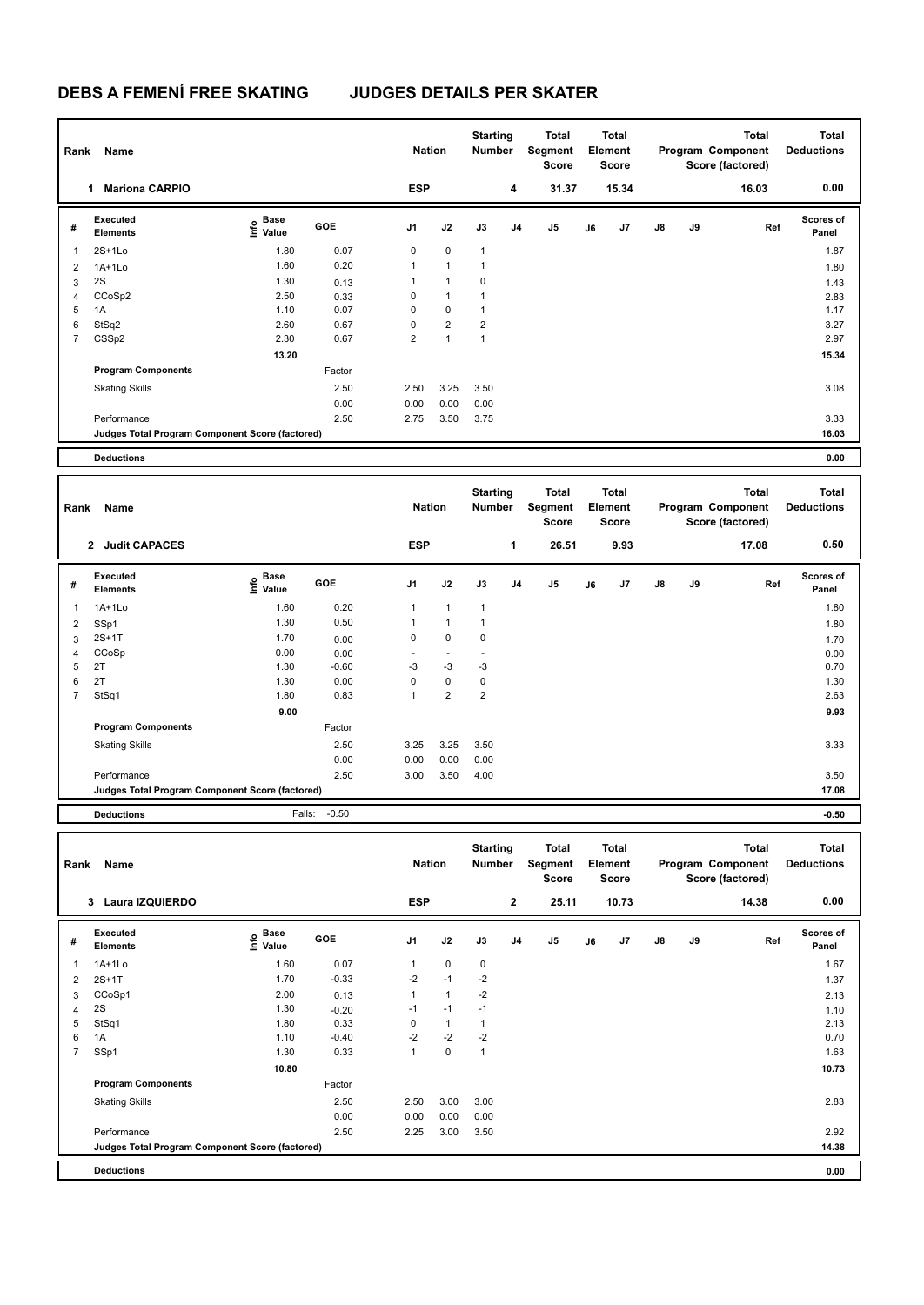| Rank<br>Name            |                                                 |                                  |        |                | <b>Nation</b>  |                | <b>Starting</b><br><b>Number</b> | <b>Total</b><br>Segment<br><b>Score</b> | <b>Total</b><br>Element<br>Score |       |               |    | <b>Total</b><br>Program Component<br>Score (factored) | <b>Total</b><br><b>Deductions</b> |
|-------------------------|-------------------------------------------------|----------------------------------|--------|----------------|----------------|----------------|----------------------------------|-----------------------------------------|----------------------------------|-------|---------------|----|-------------------------------------------------------|-----------------------------------|
|                         | <b>Mariona CARPIO</b><br>1                      |                                  |        | <b>ESP</b>     |                |                | 4                                | 31.37                                   |                                  | 15.34 |               |    | 16.03                                                 | 0.00                              |
| #                       | Executed<br><b>Elements</b>                     | <b>Base</b><br>o Base<br>⊆ Value | GOE    | J1             | J2             | J3             | J <sub>4</sub>                   | J5                                      | J6                               | J7    | $\mathsf{J}8$ | J9 | Ref                                                   | <b>Scores of</b><br>Panel         |
| $\overline{\mathbf{1}}$ | $2S+1L0$                                        | 1.80                             | 0.07   | 0              | $\mathbf 0$    | $\mathbf{1}$   |                                  |                                         |                                  |       |               |    |                                                       | 1.87                              |
| $\overline{2}$          | $1A+1Lo$                                        | 1.60                             | 0.20   | 1              | $\mathbf{1}$   | $\mathbf{1}$   |                                  |                                         |                                  |       |               |    |                                                       | 1.80                              |
| 3                       | 2S                                              | 1.30                             | 0.13   | 1              | $\mathbf{1}$   | 0              |                                  |                                         |                                  |       |               |    |                                                       | 1.43                              |
| 4                       | CCoSp2                                          | 2.50                             | 0.33   | 0              | 1              | 1              |                                  |                                         |                                  |       |               |    |                                                       | 2.83                              |
| 5                       | 1A                                              | 1.10                             | 0.07   | 0              | $\mathbf 0$    | 1              |                                  |                                         |                                  |       |               |    |                                                       | 1.17                              |
| 6                       | StSq2                                           | 2.60                             | 0.67   | 0              | $\overline{2}$ | $\overline{c}$ |                                  |                                         |                                  |       |               |    |                                                       | 3.27                              |
| 7                       | CSS <sub>p2</sub>                               | 2.30                             | 0.67   | $\overline{2}$ | $\mathbf{1}$   | $\mathbf{1}$   |                                  |                                         |                                  |       |               |    |                                                       | 2.97                              |
|                         |                                                 | 13.20                            |        |                |                |                |                                  |                                         |                                  |       |               |    |                                                       | 15.34                             |
|                         | <b>Program Components</b>                       |                                  | Factor |                |                |                |                                  |                                         |                                  |       |               |    |                                                       |                                   |
|                         | <b>Skating Skills</b>                           |                                  | 2.50   | 2.50           | 3.25           | 3.50           |                                  |                                         |                                  |       |               |    |                                                       | 3.08                              |
|                         |                                                 |                                  | 0.00   | 0.00           | 0.00           | 0.00           |                                  |                                         |                                  |       |               |    |                                                       |                                   |
|                         | Performance                                     |                                  | 2.50   | 2.75           | 3.50           | 3.75           |                                  |                                         |                                  |       |               |    |                                                       | 3.33                              |
|                         | Judges Total Program Component Score (factored) |                                  |        |                |                |                |                                  |                                         |                                  |       |               |    |                                                       | 16.03                             |
|                         | <b>Deductions</b>                               |                                  |        |                |                |                |                                  |                                         |                                  |       |               |    |                                                       | 0.00                              |

| Rank<br>Name   |                                                 |                                           |            |                          | <b>Nation</b>            |                | <b>Starting</b><br>Number | <b>Total</b><br>Segment<br><b>Score</b> | <b>Total</b><br>Element<br><b>Score</b> |                |               |    | <b>Total</b><br>Program Component<br>Score (factored) | <b>Total</b><br><b>Deductions</b> |
|----------------|-------------------------------------------------|-------------------------------------------|------------|--------------------------|--------------------------|----------------|---------------------------|-----------------------------------------|-----------------------------------------|----------------|---------------|----|-------------------------------------------------------|-----------------------------------|
|                | 2 Judit CAPACES                                 |                                           |            | <b>ESP</b>               |                          |                | 1                         | 26.51                                   |                                         | 9.93           |               |    | 17.08                                                 | 0.50                              |
| #              | Executed<br><b>Elements</b>                     | $\frac{6}{5}$ Base<br>$\frac{5}{5}$ Value | <b>GOE</b> | J <sub>1</sub>           | J2                       | J3             | J <sub>4</sub>            | J <sub>5</sub>                          | J6                                      | J <sub>7</sub> | $\mathsf{J}8$ | J9 | Ref                                                   | <b>Scores of</b><br>Panel         |
| 1              | $1A+1Lo$                                        | 1.60                                      | 0.20       | $\mathbf{1}$             | $\mathbf{1}$             | $\mathbf{1}$   |                           |                                         |                                         |                |               |    |                                                       | 1.80                              |
| $\overline{2}$ | SSp1                                            | 1.30                                      | 0.50       | 1                        | $\mathbf{1}$             | 1              |                           |                                         |                                         |                |               |    |                                                       | 1.80                              |
| 3              | $2S+1T$                                         | 1.70                                      | 0.00       | 0                        | $\mathbf 0$              | $\mathbf 0$    |                           |                                         |                                         |                |               |    |                                                       | 1.70                              |
| $\overline{4}$ | CCoSp                                           | 0.00                                      | 0.00       | $\overline{\phantom{a}}$ | $\overline{\phantom{a}}$ |                |                           |                                         |                                         |                |               |    |                                                       | 0.00                              |
| 5              | 2T                                              | 1.30                                      | $-0.60$    | -3                       | $-3$                     | $-3$           |                           |                                         |                                         |                |               |    |                                                       | 0.70                              |
| 6              | 2T                                              | 1.30                                      | 0.00       | 0                        | $\pmb{0}$                | 0              |                           |                                         |                                         |                |               |    |                                                       | 1.30                              |
| 7              | StSq1                                           | 1.80                                      | 0.83       | $\overline{1}$           | $\overline{2}$           | $\overline{2}$ |                           |                                         |                                         |                |               |    |                                                       | 2.63                              |
|                |                                                 | 9.00                                      |            |                          |                          |                |                           |                                         |                                         |                |               |    |                                                       | 9.93                              |
|                | <b>Program Components</b>                       |                                           | Factor     |                          |                          |                |                           |                                         |                                         |                |               |    |                                                       |                                   |
|                | <b>Skating Skills</b>                           |                                           | 2.50       | 3.25                     | 3.25                     | 3.50           |                           |                                         |                                         |                |               |    |                                                       | 3.33                              |
|                |                                                 |                                           | 0.00       | 0.00                     | 0.00                     | 0.00           |                           |                                         |                                         |                |               |    |                                                       |                                   |
|                | Performance                                     |                                           | 2.50       | 3.00                     | 3.50                     | 4.00           |                           |                                         |                                         |                |               |    |                                                       | 3.50                              |
|                | Judges Total Program Component Score (factored) |                                           |            |                          |                          |                |                           |                                         |                                         |                |               |    |                                                       | 17.08                             |
|                | <b>Deductions</b>                               | Falls:                                    | $-0.50$    |                          |                          |                |                           |                                         |                                         |                |               |    |                                                       | $-0.50$                           |

|                         | Rank<br>Name                                    |                                  |         |                | <b>Nation</b> |      | <b>Starting</b><br><b>Number</b> | <b>Total</b><br>Segment<br><b>Score</b> | <b>Total</b><br>Element<br><b>Score</b> |       |               |    | <b>Total</b><br>Program Component<br>Score (factored) | <b>Total</b><br><b>Deductions</b> |  |
|-------------------------|-------------------------------------------------|----------------------------------|---------|----------------|---------------|------|----------------------------------|-----------------------------------------|-----------------------------------------|-------|---------------|----|-------------------------------------------------------|-----------------------------------|--|
|                         | Laura IZQUIERDO<br>3                            |                                  |         | <b>ESP</b>     |               |      | $\overline{2}$                   | 25.11                                   |                                         | 10.73 |               |    | 14.38                                                 | 0.00                              |  |
| #                       | Executed<br><b>Elements</b>                     | <b>Base</b><br>e Base<br>E Value | GOE     | J <sub>1</sub> | J2            | J3   | J <sub>4</sub>                   | J5                                      | J6                                      | J7    | $\mathsf{J}8$ | J9 | Ref                                                   | <b>Scores of</b><br>Panel         |  |
| $\overline{\mathbf{1}}$ | $1A+1L0$                                        | 1.60                             | 0.07    | 1              | 0             | 0    |                                  |                                         |                                         |       |               |    |                                                       | 1.67                              |  |
| $\overline{2}$          | $2S+1T$                                         | 1.70                             | $-0.33$ | $-2$           | $-1$          | $-2$ |                                  |                                         |                                         |       |               |    |                                                       | 1.37                              |  |
| 3                       | CCoSp1                                          | 2.00                             | 0.13    | 1              | $\mathbf{1}$  | $-2$ |                                  |                                         |                                         |       |               |    |                                                       | 2.13                              |  |
| 4                       | 2S                                              | 1.30                             | $-0.20$ | $-1$           | $-1$          | $-1$ |                                  |                                         |                                         |       |               |    |                                                       | 1.10                              |  |
| 5                       | StSq1                                           | 1.80                             | 0.33    | 0              | $\mathbf{1}$  | 1    |                                  |                                         |                                         |       |               |    |                                                       | 2.13                              |  |
| 6                       | 1A                                              | 1.10                             | $-0.40$ | $-2$           | $-2$          | $-2$ |                                  |                                         |                                         |       |               |    |                                                       | 0.70                              |  |
| $\overline{7}$          | SSp1                                            | 1.30                             | 0.33    | 1              | $\mathbf 0$   | 1    |                                  |                                         |                                         |       |               |    |                                                       | 1.63                              |  |
|                         |                                                 | 10.80                            |         |                |               |      |                                  |                                         |                                         |       |               |    |                                                       | 10.73                             |  |
|                         | <b>Program Components</b>                       |                                  | Factor  |                |               |      |                                  |                                         |                                         |       |               |    |                                                       |                                   |  |
|                         | <b>Skating Skills</b>                           |                                  | 2.50    | 2.50           | 3.00          | 3.00 |                                  |                                         |                                         |       |               |    |                                                       | 2.83                              |  |
|                         |                                                 |                                  | 0.00    | 0.00           | 0.00          | 0.00 |                                  |                                         |                                         |       |               |    |                                                       |                                   |  |
|                         | Performance                                     |                                  | 2.50    | 2.25           | 3.00          | 3.50 |                                  |                                         |                                         |       |               |    |                                                       | 2.92                              |  |
|                         | Judges Total Program Component Score (factored) |                                  |         |                |               |      |                                  |                                         |                                         |       |               |    |                                                       | 14.38                             |  |
|                         | <b>Deductions</b>                               |                                  |         |                |               |      |                                  |                                         |                                         |       |               |    |                                                       | 0.00                              |  |